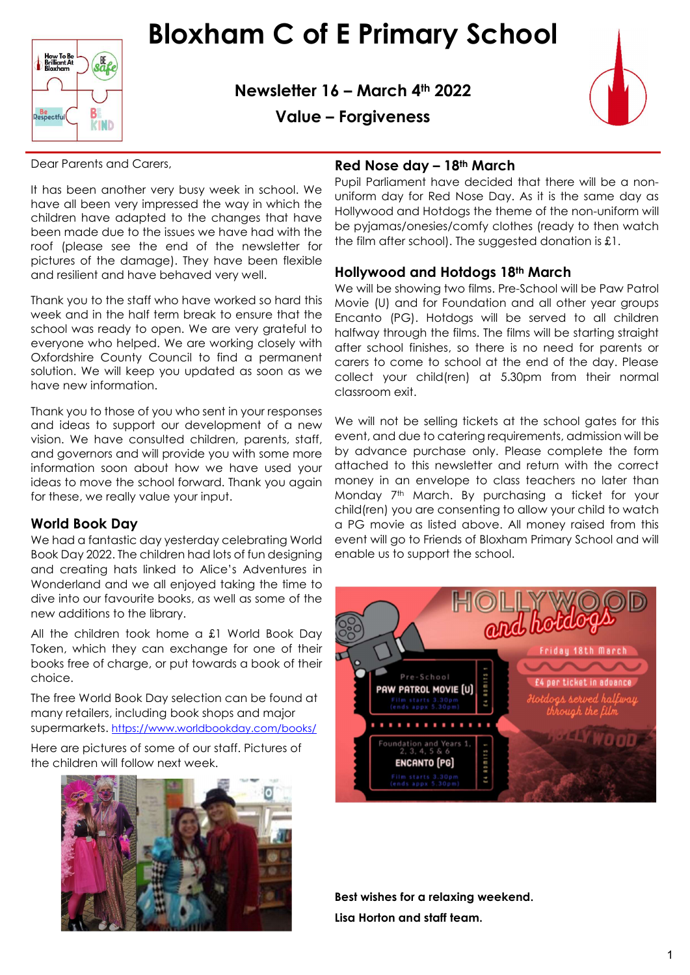

Bloxham C of E Primary School

Newsletter 16 – March 4th 2022



Value – Forgiveness

Dear Parents and Carers,

It has been another very busy week in school. We have all been very impressed the way in which the children have adapted to the changes that have been made due to the issues we have had with the roof (please see the end of the newsletter for pictures of the damage). They have been flexible and resilient and have behaved very well.

Thank you to the staff who have worked so hard this week and in the half term break to ensure that the school was ready to open. We are very grateful to everyone who helped. We are working closely with Oxfordshire County Council to find a permanent solution. We will keep you updated as soon as we have new information.

Thank you to those of you who sent in your responses and ideas to support our development of a new vision. We have consulted children, parents, staff, and governors and will provide you with some more information soon about how we have used your ideas to move the school forward. Thank you again for these, we really value your input.

#### World Book Day

We had a fantastic day yesterday celebrating World Book Day 2022. The children had lots of fun designing and creating hats linked to Alice's Adventures in Wonderland and we all enjoyed taking the time to dive into our favourite books, as well as some of the new additions to the library.

All the children took home a £1 World Book Day Token, which they can exchange for one of their books free of charge, or put towards a book of their choice.

The free World Book Day selection can be found at many retailers, including book shops and major supermarkets. https://www.worldbookday.com/books/

Here are pictures of some of our staff. Pictures of the children will follow next week.



## Red Nose day - 18th March

Pupil Parliament have decided that there will be a nonuniform day for Red Nose Day. As it is the same day as Hollywood and Hotdogs the theme of the non-uniform will be pyjamas/onesies/comfy clothes (ready to then watch the film after school). The suggested donation is £1.

#### Hollywood and Hotdogs 18th March

We will be showing two films. Pre-School will be Paw Patrol Movie (U) and for Foundation and all other year groups Encanto (PG). Hotdogs will be served to all children halfway through the films. The films will be starting straight after school finishes, so there is no need for parents or carers to come to school at the end of the day. Please collect your child(ren) at 5.30pm from their normal classroom exit.

We will not be selling tickets at the school gates for this event, and due to catering requirements, admission will be by advance purchase only. Please complete the form attached to this newsletter and return with the correct money in an envelope to class teachers no later than Monday 7<sup>th</sup> March. By purchasing a ticket for your child(ren) you are consenting to allow your child to watch a PG movie as listed above. All money raised from this event will go to Friends of Bloxham Primary School and will enable us to support the school.



Best wishes for a relaxing weekend. Lisa Horton and staff team.